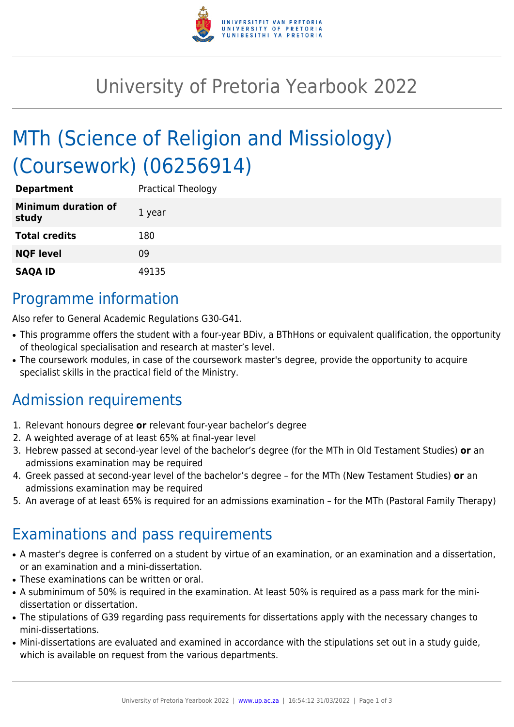

## University of Pretoria Yearbook 2022

# MTh (Science of Religion and Missiology) (Coursework) (06256914)

| <b>Department</b>                   | Practical Theology |
|-------------------------------------|--------------------|
| <b>Minimum duration of</b><br>study | 1 year             |
| <b>Total credits</b>                | 180                |
| <b>NQF level</b>                    | 09                 |
| <b>SAQA ID</b>                      | 49135              |

### Programme information

Also refer to General Academic Regulations G30-G41.

- This programme offers the student with a four-year BDiv, a BThHons or equivalent qualification, the opportunity of theological specialisation and research at master's level.
- The coursework modules, in case of the coursework master's degree, provide the opportunity to acquire specialist skills in the practical field of the Ministry.

### Admission requirements

- 1. Relevant honours degree **or** relevant four-year bachelor's degree
- 2. A weighted average of at least 65% at final-year level
- 3. Hebrew passed at second-year level of the bachelor's degree (for the MTh in Old Testament Studies) **or** an admissions examination may be required
- 4. Greek passed at second-year level of the bachelor's degree for the MTh (New Testament Studies) **or** an admissions examination may be required
- 5. An average of at least 65% is required for an admissions examination for the MTh (Pastoral Family Therapy)

### Examinations and pass requirements

- A master's degree is conferred on a student by virtue of an examination, or an examination and a dissertation, or an examination and a mini-dissertation.
- These examinations can be written or oral.
- A subminimum of 50% is required in the examination. At least 50% is required as a pass mark for the minidissertation or dissertation.
- The stipulations of G39 regarding pass requirements for dissertations apply with the necessary changes to mini-dissertations.
- Mini-dissertations are evaluated and examined in accordance with the stipulations set out in a study guide, which is available on request from the various departments.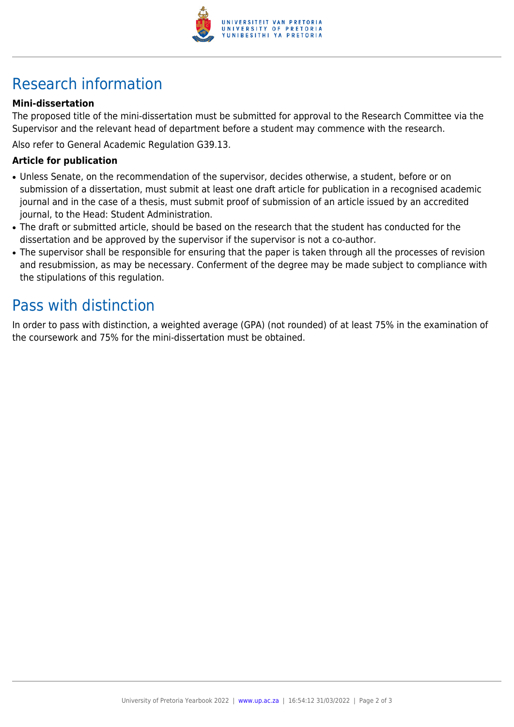

## Research information

#### **Mini-dissertation**

The proposed title of the mini-dissertation must be submitted for approval to the Research Committee via the Supervisor and the relevant head of department before a student may commence with the research.

Also refer to General Academic Regulation G39.13.

#### **Article for publication**

- Unless Senate, on the recommendation of the supervisor, decides otherwise, a student, before or on submission of a dissertation, must submit at least one draft article for publication in a recognised academic journal and in the case of a thesis, must submit proof of submission of an article issued by an accredited journal, to the Head: Student Administration.
- The draft or submitted article, should be based on the research that the student has conducted for the dissertation and be approved by the supervisor if the supervisor is not a co-author.
- The supervisor shall be responsible for ensuring that the paper is taken through all the processes of revision and resubmission, as may be necessary. Conferment of the degree may be made subject to compliance with the stipulations of this regulation.

### Pass with distinction

In order to pass with distinction, a weighted average (GPA) (not rounded) of at least 75% in the examination of the coursework and 75% for the mini-dissertation must be obtained.